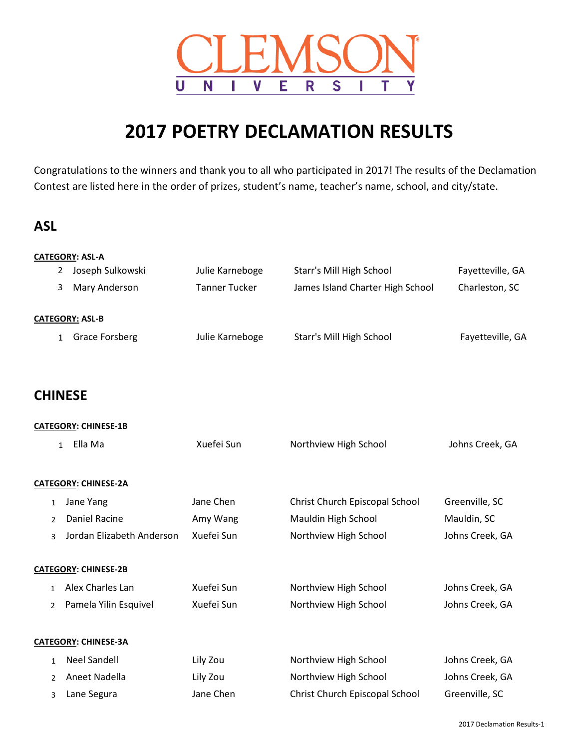

# **2017 POETRY DECLAMATION RESULTS**

Congratulations to the winners and thank you to all who participated in 2017! The results of the Declamation Contest are listed here in the order of prizes, student's name, teacher's name, school, and city/state.

## **ASL**

|                | <b>CATEGORY: ASL-A</b>                |                      |                                  |                  |
|----------------|---------------------------------------|----------------------|----------------------------------|------------------|
|                | Joseph Sulkowski<br>2                 | Julie Karneboge      | Starr's Mill High School         | Fayetteville, GA |
|                | Mary Anderson<br>3                    | <b>Tanner Tucker</b> | James Island Charter High School | Charleston, SC   |
|                | <b>CATEGORY: ASL-B</b>                |                      |                                  |                  |
|                | <b>Grace Forsberg</b><br>$\mathbf{1}$ | Julie Karneboge      | Starr's Mill High School         | Fayetteville, GA |
|                | <b>CHINESE</b>                        |                      |                                  |                  |
|                | <b>CATEGORY: CHINESE-1B</b>           |                      |                                  |                  |
|                | Ella Ma<br>$\mathbf{1}$               | Xuefei Sun           | Northview High School            | Johns Creek, GA  |
|                | <b>CATEGORY: CHINESE-2A</b>           |                      |                                  |                  |
| $\mathbf{1}$   | Jane Yang                             | Jane Chen            | Christ Church Episcopal School   | Greenville, SC   |
| 2              | <b>Daniel Racine</b>                  | Amy Wang             | Mauldin High School              | Mauldin, SC      |
| 3              | Jordan Elizabeth Anderson             | Xuefei Sun           | Northview High School            | Johns Creek, GA  |
|                | <b>CATEGORY: CHINESE-2B</b>           |                      |                                  |                  |
| $\mathbf{1}$   | Alex Charles Lan                      | Xuefei Sun           | Northview High School            | Johns Creek, GA  |
| $\overline{2}$ | Pamela Yilin Esquivel                 | Xuefei Sun           | Northview High School            | Johns Creek, GA  |
|                | <b>CATEGORY: CHINESE-3A</b>           |                      |                                  |                  |
| $\mathbf{1}$   | <b>Neel Sandell</b>                   | Lily Zou             | Northview High School            | Johns Creek, GA  |
| 2              | Aneet Nadella                         | Lily Zou             | Northview High School            | Johns Creek, GA  |
| 3              | Lane Segura                           | Jane Chen            | Christ Church Episcopal School   | Greenville, SC   |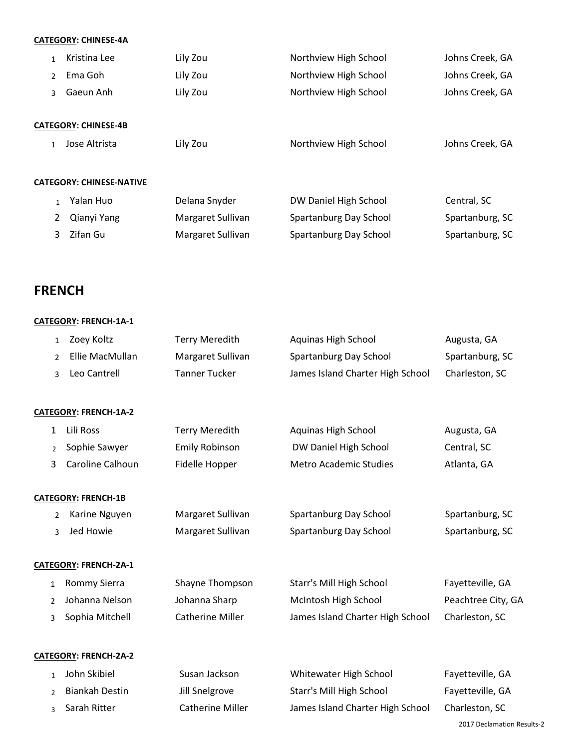### **CATEGORY: CHINESE-4A**

| $\mathbf{1}$  | Kristina Lee                    | Lily Zou          | Northview High School  | Johns Creek, GA |
|---------------|---------------------------------|-------------------|------------------------|-----------------|
| $\mathcal{P}$ | Ema Goh                         | Lily Zou          | Northview High School  | Johns Creek, GA |
| 3             | Gaeun Anh                       | Lily Zou          | Northview High School  | Johns Creek, GA |
|               |                                 |                   |                        |                 |
|               | <b>CATEGORY: CHINESE-4B</b>     |                   |                        |                 |
| $\mathbf{1}$  | Jose Altrista                   | Lily Zou          | Northview High School  | Johns Creek, GA |
|               |                                 |                   |                        |                 |
|               | <b>CATEGORY: CHINESE-NATIVE</b> |                   |                        |                 |
| $\mathbf{1}$  | Yalan Huo                       | Delana Snyder     | DW Daniel High School  | Central, SC     |
| 2             | Qianyi Yang                     | Margaret Sullivan | Spartanburg Day School | Spartanburg, SC |
| 3             | Zifan Gu                        | Margaret Sullivan | Spartanburg Day School | Spartanburg, SC |
|               |                                 |                   |                        |                 |

## **FRENCH**

### **CATEGORY: FRENCH-1A-1**

| $\mathbf{1}$   | Zoey Koltz                   | <b>Terry Meredith</b>   | Aquinas High School              | Augusta, GA                |
|----------------|------------------------------|-------------------------|----------------------------------|----------------------------|
| $\overline{2}$ | Ellie MacMullan              | Margaret Sullivan       | Spartanburg Day School           | Spartanburg, SC            |
| 3              | Leo Cantrell                 | <b>Tanner Tucker</b>    | James Island Charter High School | Charleston, SC             |
|                |                              |                         |                                  |                            |
|                | <b>CATEGORY: FRENCH-1A-2</b> |                         |                                  |                            |
| 1              | Lili Ross                    | <b>Terry Meredith</b>   | Aquinas High School              | Augusta, GA                |
| $\overline{2}$ | Sophie Sawyer                | <b>Emily Robinson</b>   | DW Daniel High School            | Central, SC                |
| 3              | Caroline Calhoun             | Fidelle Hopper          | <b>Metro Academic Studies</b>    | Atlanta, GA                |
|                |                              |                         |                                  |                            |
|                | <b>CATEGORY: FRENCH-1B</b>   |                         |                                  |                            |
| $\overline{2}$ | Karine Nguyen                | Margaret Sullivan       | Spartanburg Day School           | Spartanburg, SC            |
| 3              | Jed Howie                    | Margaret Sullivan       | Spartanburg Day School           | Spartanburg, SC            |
|                | CATEGORY: FRENCH-2A-1        |                         |                                  |                            |
|                |                              |                         |                                  |                            |
| 1              | <b>Rommy Sierra</b>          | Shayne Thompson         | Starr's Mill High School         | Fayetteville, GA           |
| 2              | Johanna Nelson               | Johanna Sharp           | McIntosh High School             | Peachtree City, GA         |
| 3              | Sophia Mitchell              | <b>Catherine Miller</b> | James Island Charter High School | Charleston, SC             |
|                |                              |                         |                                  |                            |
|                | CATEGORY: FRENCH-2A-2        |                         |                                  |                            |
| $\mathbf{1}$   | John Skibiel                 | Susan Jackson           | Whitewater High School           | Fayetteville, GA           |
| 2              | <b>Biankah Destin</b>        | Jill Snelgrove          | Starr's Mill High School         | Fayetteville, GA           |
| 3              | Sarah Ritter                 | <b>Catherine Miller</b> | James Island Charter High School | Charleston, SC             |
|                |                              |                         |                                  | 2017 Declamation Results-2 |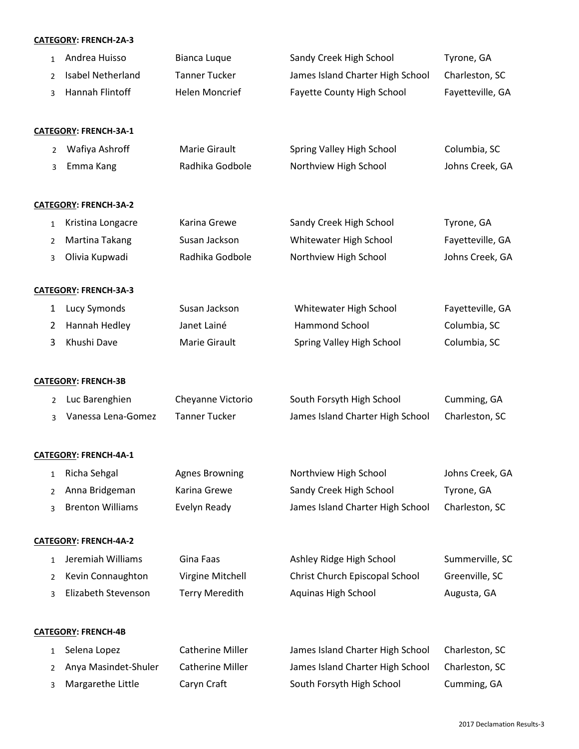#### **CATEGORY: FRENCH-2A-3**

| $\mathbf{1}$   | Andrea Huisso                | <b>Bianca Luque</b>     | Sandy Creek High School          | Tyrone, GA       |
|----------------|------------------------------|-------------------------|----------------------------------|------------------|
| $\overline{2}$ | <b>Isabel Netherland</b>     | <b>Tanner Tucker</b>    | James Island Charter High School | Charleston, SC   |
| 3              | Hannah Flintoff              | <b>Helen Moncrief</b>   | Fayette County High School       | Fayetteville, GA |
|                | <b>CATEGORY: FRENCH-3A-1</b> |                         |                                  |                  |
| $\overline{2}$ | Wafiya Ashroff               | Marie Girault           | Spring Valley High School        | Columbia, SC     |
| 3              | Emma Kang                    | Radhika Godbole         | Northview High School            | Johns Creek, GA  |
|                | <b>CATEGORY: FRENCH-3A-2</b> |                         |                                  |                  |
| $\mathbf{1}$   | Kristina Longacre            | Karina Grewe            | Sandy Creek High School          | Tyrone, GA       |
| $\overline{2}$ | Martina Takang               | Susan Jackson           | Whitewater High School           | Fayetteville, GA |
| 3              | Olivia Kupwadi               | Radhika Godbole         | Northview High School            | Johns Creek, GA  |
|                | CATEGORY: FRENCH-3A-3        |                         |                                  |                  |
| 1              | Lucy Symonds                 | Susan Jackson           | Whitewater High School           | Fayetteville, GA |
| 2              | Hannah Hedley                | Janet Lainé             | Hammond School                   | Columbia, SC     |
| 3              | Khushi Dave                  | Marie Girault           | Spring Valley High School        | Columbia, SC     |
|                | <b>CATEGORY: FRENCH-3B</b>   |                         |                                  |                  |
| $\overline{2}$ | Luc Barenghien               | Cheyanne Victorio       | South Forsyth High School        | Cumming, GA      |
| 3              | Vanessa Lena-Gomez           | <b>Tanner Tucker</b>    | James Island Charter High School | Charleston, SC   |
|                | CATEGORY: FRENCH-4A-1        |                         |                                  |                  |
|                | 1 Richa Sehgal               | <b>Agnes Browning</b>   | Northview High School            | Johns Creek, GA  |
| 2              | Anna Bridgeman               | Karina Grewe            | Sandy Creek High School          | Tyrone, GA       |
| 3              | <b>Brenton Williams</b>      | Evelyn Ready            | James Island Charter High School | Charleston, SC   |
|                | CATEGORY: FRENCH-4A-2        |                         |                                  |                  |
| 1              | Jeremiah Williams            | Gina Faas               | Ashley Ridge High School         | Summerville, SC  |
| 2              | Kevin Connaughton            | Virgine Mitchell        | Christ Church Episcopal School   | Greenville, SC   |
| 3              | Elizabeth Stevenson          | <b>Terry Meredith</b>   | Aquinas High School              | Augusta, GA      |
|                | <b>CATEGORY: FRENCH-4B</b>   |                         |                                  |                  |
| 1              | Selena Lopez                 | <b>Catherine Miller</b> | James Island Charter High School | Charleston, SC   |
| 2              | Anya Masindet-Shuler         | <b>Catherine Miller</b> | James Island Charter High School | Charleston, SC   |
| 3              | Margarethe Little            | Caryn Craft             | South Forsyth High School        | Cumming, GA      |
|                |                              |                         |                                  |                  |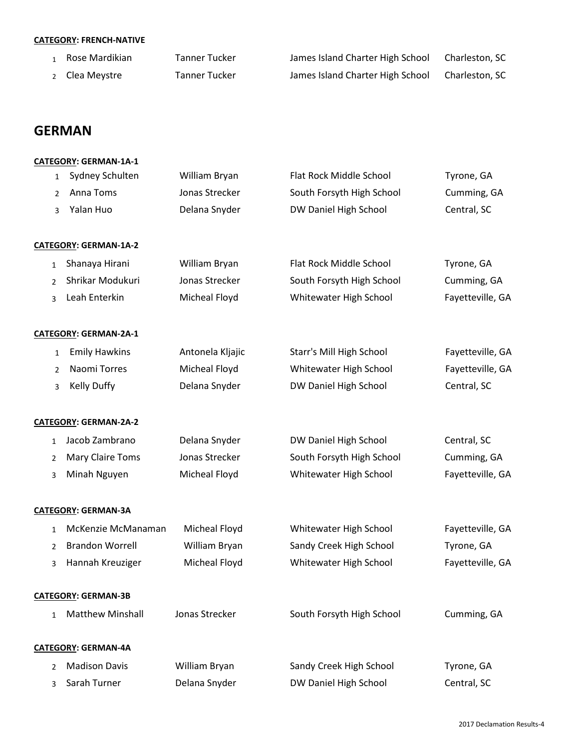#### **CATEGORY: FRENCH-NATIVE**

| Rose Mardikian            | Tanner Tucker | James Island Charter High School | Charleston, SC |
|---------------------------|---------------|----------------------------------|----------------|
| <sub>2</sub> Clea Meystre | Tanner Tucker | James Island Charter High School | Charleston, SC |

## **GERMAN**

|                | <b>CATEGORY: GERMAN-1A-1</b>         |                  |                           |                  |
|----------------|--------------------------------------|------------------|---------------------------|------------------|
|                | Sydney Schulten<br>$\mathbf{1}$      | William Bryan    | Flat Rock Middle School   | Tyrone, GA       |
|                | Anna Toms<br>2                       | Jonas Strecker   | South Forsyth High School | Cumming, GA      |
|                | Yalan Huo<br>3                       | Delana Snyder    | DW Daniel High School     | Central, SC      |
|                | <b>CATEGORY: GERMAN-1A-2</b>         |                  |                           |                  |
| $\mathbf{1}$   | Shanaya Hirani                       | William Bryan    | Flat Rock Middle School   | Tyrone, GA       |
| $\overline{2}$ | Shrikar Modukuri                     | Jonas Strecker   | South Forsyth High School | Cumming, GA      |
| 3              | Leah Enterkin                        | Micheal Floyd    | Whitewater High School    | Fayetteville, GA |
|                | <b>CATEGORY: GERMAN-2A-1</b>         |                  |                           |                  |
|                | <b>Emily Hawkins</b><br>$\mathbf{1}$ | Antonela Kljajic | Starr's Mill High School  | Fayetteville, GA |
|                | Naomi Torres<br>$\overline{2}$       | Micheal Floyd    | Whitewater High School    | Fayetteville, GA |
|                | <b>Kelly Duffy</b><br>3              | Delana Snyder    | DW Daniel High School     | Central, SC      |
|                | <b>CATEGORY: GERMAN-2A-2</b>         |                  |                           |                  |
| $\mathbf{1}$   | Jacob Zambrano                       | Delana Snyder    | DW Daniel High School     | Central, SC      |
| $\overline{2}$ | Mary Claire Toms                     | Jonas Strecker   | South Forsyth High School | Cumming, GA      |
| 3              | Minah Nguyen                         | Micheal Floyd    | Whitewater High School    | Fayetteville, GA |
|                | <b>CATEGORY: GERMAN-3A</b>           |                  |                           |                  |
| $\mathbf{1}$   | McKenzie McManaman                   | Micheal Floyd    | Whitewater High School    | Fayetteville, GA |
| $\overline{2}$ | <b>Brandon Worrell</b>               | William Bryan    | Sandy Creek High School   | Tyrone, GA       |
| 3              | Hannah Kreuziger                     | Micheal Floyd    | Whitewater High School    | Fayetteville, GA |
|                | <b>CATEGORY: GERMAN-3B</b>           |                  |                           |                  |
| $\mathbf{1}$   | <b>Matthew Minshall</b>              | Jonas Strecker   | South Forsyth High School | Cumming, GA      |
|                | <b>CATEGORY: GERMAN-4A</b>           |                  |                           |                  |
| 2              | <b>Madison Davis</b>                 | William Bryan    | Sandy Creek High School   | Tyrone, GA       |
| 3              | Sarah Turner                         | Delana Snyder    | DW Daniel High School     | Central, SC      |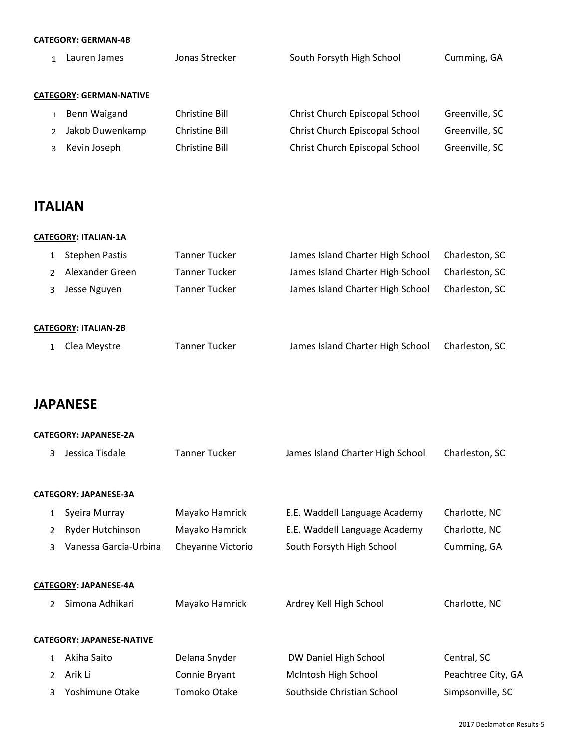### **CATEGORY: GERMAN-4B**

| Lauren James                   | Jonas Strecker | South Forsyth High School      | Cumming, GA    |
|--------------------------------|----------------|--------------------------------|----------------|
| <b>CATEGORY: GERMAN-NATIVE</b> |                |                                |                |
| Benn Waigand                   | Christine Bill | Christ Church Episcopal School | Greenville, SC |
| Jakob Duwenkamp                | Christine Bill | Christ Church Episcopal School | Greenville, SC |
| Kevin Joseph                   | Christine Bill | Christ Church Episcopal School | Greenville, SC |
|                                |                |                                |                |

## **ITALIAN**

| <b>CATEGORY: ITALIAN-1A</b> |               |                                  |                |
|-----------------------------|---------------|----------------------------------|----------------|
| <b>Stephen Pastis</b>       | Tanner Tucker | James Island Charter High School | Charleston, SC |
| Alexander Green             | Tanner Tucker | James Island Charter High School | Charleston, SC |
| Jesse Nguyen                | Tanner Tucker | James Island Charter High School | Charleston, SC |
| <b>CATEGORY: ITALIAN-2B</b> |               |                                  |                |
| Clea Meystre                | Tanner Tucker | James Island Charter High School | Charleston, SC |

# **JAPANESE**

|               | JAI AIILJL                |                      |                                  |                            |
|---------------|---------------------------|----------------------|----------------------------------|----------------------------|
|               | CATEGORY: JAPANESE-2A     |                      |                                  |                            |
| 3             | Jessica Tisdale           | <b>Tanner Tucker</b> | James Island Charter High School | Charleston, SC             |
|               |                           |                      |                                  |                            |
|               | CATEGORY: JAPANESE-3A     |                      |                                  |                            |
| 1             | Syeira Murray             | Mayako Hamrick       | E.E. Waddell Language Academy    | Charlotte, NC              |
| 2             | Ryder Hutchinson          | Mayako Hamrick       | E.E. Waddell Language Academy    | Charlotte, NC              |
| 3             | Vanessa Garcia-Urbina     | Cheyanne Victorio    | South Forsyth High School        | Cumming, GA                |
|               |                           |                      |                                  |                            |
|               | CATEGORY: JAPANESE-4A     |                      |                                  |                            |
| $\mathcal{P}$ | Simona Adhikari           | Mayako Hamrick       | Ardrey Kell High School          | Charlotte, NC              |
|               |                           |                      |                                  |                            |
|               | CATEGORY: JAPANESE-NATIVE |                      |                                  |                            |
| 1             | Akiha Saito               | Delana Snyder        | DW Daniel High School            | Central, SC                |
| 2             | Arik Li                   | Connie Bryant        | McIntosh High School             | Peachtree City, GA         |
| 3             | Yoshimune Otake           | Tomoko Otake         | Southside Christian School       | Simpsonville, SC           |
|               |                           |                      |                                  |                            |
|               |                           |                      |                                  | 2017 Declamation Results-5 |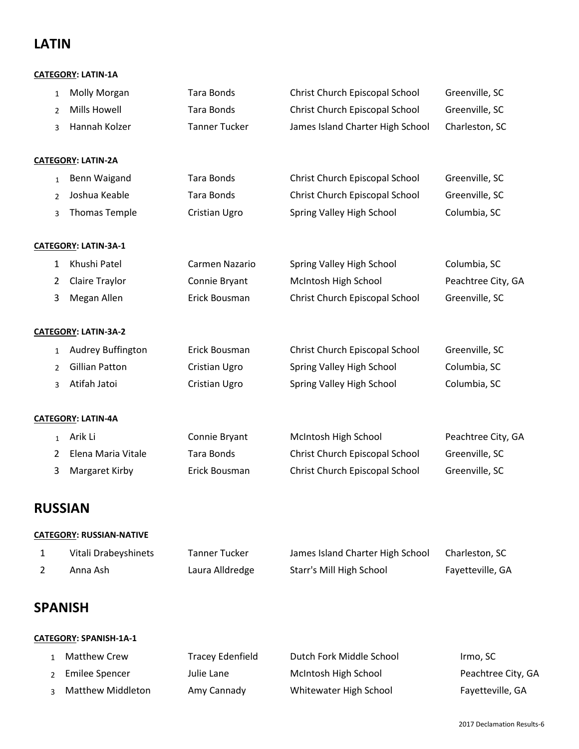## **LATIN**

### **CATEGORY: LATIN-1A**

| 1              | Molly Morgan                    | <b>Tara Bonds</b>       | Christ Church Episcopal School   | Greenville, SC     |
|----------------|---------------------------------|-------------------------|----------------------------------|--------------------|
| $\overline{2}$ | <b>Mills Howell</b>             | <b>Tara Bonds</b>       | Christ Church Episcopal School   | Greenville, SC     |
| 3              | Hannah Kolzer                   | <b>Tanner Tucker</b>    | James Island Charter High School | Charleston, SC     |
|                | <b>CATEGORY: LATIN-2A</b>       |                         |                                  |                    |
| $\mathbf{1}$   | Benn Waigand                    | <b>Tara Bonds</b>       | Christ Church Episcopal School   | Greenville, SC     |
| $\overline{2}$ | Joshua Keable                   | <b>Tara Bonds</b>       | Christ Church Episcopal School   | Greenville, SC     |
| 3              | <b>Thomas Temple</b>            | Cristian Ugro           | Spring Valley High School        | Columbia, SC       |
|                | <b>CATEGORY: LATIN-3A-1</b>     |                         |                                  |                    |
| $\mathbf{1}$   | Khushi Patel                    | Carmen Nazario          | Spring Valley High School        | Columbia, SC       |
| 2              | Claire Traylor                  | Connie Bryant           | McIntosh High School             | Peachtree City, GA |
| 3              | Megan Allen                     | Erick Bousman           | Christ Church Episcopal School   | Greenville, SC     |
|                | CATEGORY: LATIN-3A-2            |                         |                                  |                    |
| $\mathbf{1}$   | <b>Audrey Buffington</b>        | Erick Bousman           | Christ Church Episcopal School   | Greenville, SC     |
| $\overline{2}$ | <b>Gillian Patton</b>           | Cristian Ugro           | Spring Valley High School        | Columbia, SC       |
| 3              | Atifah Jatoi                    | Cristian Ugro           | Spring Valley High School        | Columbia, SC       |
|                | <b>CATEGORY: LATIN-4A</b>       |                         |                                  |                    |
| $\mathbf{1}$   | Arik Li                         | Connie Bryant           | McIntosh High School             | Peachtree City, GA |
| 2              | Elena Maria Vitale              | <b>Tara Bonds</b>       | Christ Church Episcopal School   | Greenville, SC     |
| 3              | Margaret Kirby                  | Erick Bousman           | Christ Church Episcopal School   | Greenville, SC     |
|                | <b>RUSSIAN</b>                  |                         |                                  |                    |
|                | <b>CATEGORY: RUSSIAN-NATIVE</b> |                         |                                  |                    |
| $\mathbf{1}$   | Vitali Drabeyshinets            | <b>Tanner Tucker</b>    | James Island Charter High School | Charleston, SC     |
| $\overline{2}$ | Anna Ash                        | Laura Alldredge         | Starr's Mill High School         | Fayetteville, GA   |
|                | SPANISH                         |                         |                                  |                    |
|                | CATEGORY: SPANISH-1A-1          |                         |                                  |                    |
| 1              | <b>Matthew Crew</b>             | <b>Tracey Edenfield</b> | Dutch Fork Middle School         | Irmo, SC           |
| 2              | <b>Emilee Spencer</b>           | Julie Lane              | McIntosh High School             | Peachtree City, GA |
| 3              | <b>Matthew Middleton</b>        | Amy Cannady             | Whitewater High School           | Fayetteville, GA   |

2017 Declamation Results-6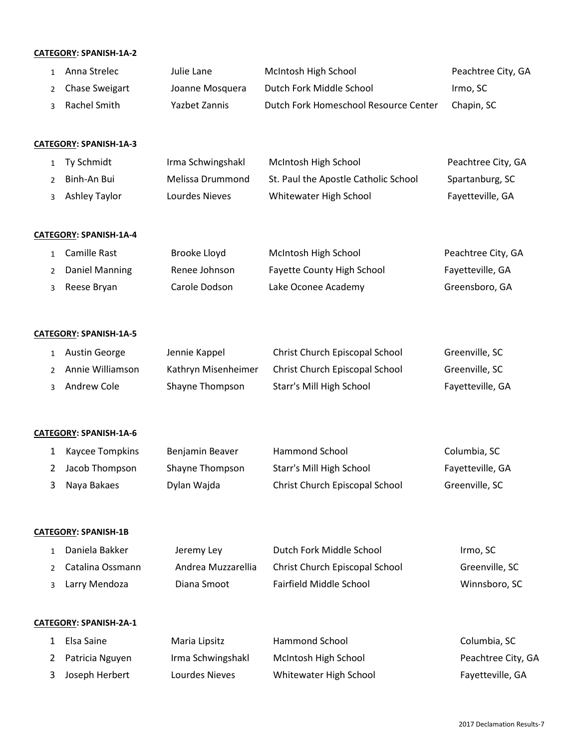#### **CATEGORY: SPANISH-1A-2**

| 1 Anna Strelec   | Julie Lane      | McIntosh High School                  | Peachtree City, GA |
|------------------|-----------------|---------------------------------------|--------------------|
| 2 Chase Sweigart | Joanne Mosquera | Dutch Fork Middle School              | Irmo. SC           |
| 3 Rachel Smith   | Yazbet Zannis   | Dutch Fork Homeschool Resource Center | Chapin, SC         |

#### **CATEGORY: SPANISH-1A-3**

| 1 Ty Schmidt    | Irma Schwingshakl | McIntosh High School                 | Peachtree City, GA |
|-----------------|-------------------|--------------------------------------|--------------------|
| Binh-An Bui     | Melissa Drummond  | St. Paul the Apostle Catholic School | Spartanburg, SC    |
| 3 Ashley Taylor | Lourdes Nieves    | Whitewater High School               | Fayetteville, GA   |

#### **CATEGORY: SPANISH-1A-4**

| 1 Camille Rast   | Brooke Lloyd  | McIntosh High School              | Peachtree City, GA |
|------------------|---------------|-----------------------------------|--------------------|
| 2 Daniel Manning | Renee Johnson | <b>Fayette County High School</b> | Fayetteville, GA   |
| 3 Reese Bryan    | Carole Dodson | Lake Oconee Academy               | Greensboro, GA     |

#### **CATEGORY: SPANISH-1A-5**

| Austin George      | Jennie Kappel       | Christ Church Episcopal School | Greenville, SC   |
|--------------------|---------------------|--------------------------------|------------------|
| 2 Annie Williamson | Kathryn Misenheimer | Christ Church Episcopal School | Greenville, SC   |
| 3 Andrew Cole      | Shayne Thompson     | Starr's Mill High School       | Fayetteville, GA |

#### **CATEGORY: SPANISH-1A-6**

| 1 Kaycee Tompkins | Benjamin Beaver | Hammond School                 | Columbia, SC     |
|-------------------|-----------------|--------------------------------|------------------|
| Jacob Thompson    | Shayne Thompson | Starr's Mill High School       | Fayetteville, GA |
| 3 Naya Bakaes     | Dylan Wajda     | Christ Church Episcopal School | Greenville, SC   |

#### **CATEGORY: SPANISH-1B**

| Daniela Bakker     | Jeremy Ley         | Dutch Fork Middle School       | Irmo. SC       |
|--------------------|--------------------|--------------------------------|----------------|
| 2 Catalina Ossmann | Andrea Muzzarellia | Christ Church Episcopal School | Greenville, SC |
| 3 Larry Mendoza    | Diana Smoot        | Fairfield Middle School        | Winnsboro, SC  |

#### **CATEGORY: SPANISH-2A-1**

| Elsa Saine        | Maria Lipsitz     | Hammond School         | Columbia, SC       |
|-------------------|-------------------|------------------------|--------------------|
| 2 Patricia Nguyen | Irma Schwingshakl | McIntosh High School   | Peachtree City, GA |
| 3 Joseph Herbert  | Lourdes Nieves    | Whitewater High School | Fayetteville, GA   |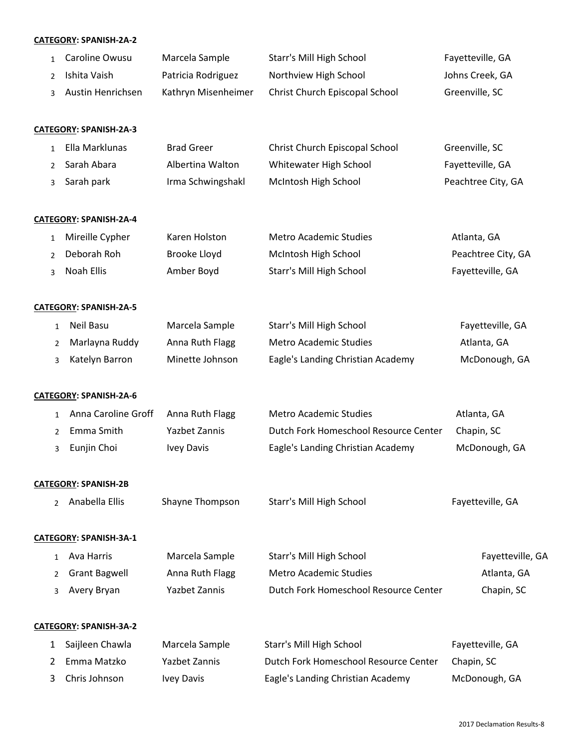#### **CATEGORY: SPANISH-2A-2**

| 1 Caroline Owusu    | Marcela Sample      | Starr's Mill High School       | Fayetteville, GA |
|---------------------|---------------------|--------------------------------|------------------|
| 2 Ishita Vaish      | Patricia Rodriguez  | Northview High School          | Johns Creek, GA  |
| 3 Austin Henrichsen | Kathryn Misenheimer | Christ Church Episcopal School | Greenville, SC   |

#### **CATEGORY: SPANISH-2A-3**

| Ella Marklunas | <b>Brad Greer</b> | Christ Church Episcopal School | Greenville, SC     |
|----------------|-------------------|--------------------------------|--------------------|
| 2 Sarah Abara  | Albertina Walton  | Whitewater High School         | Fayetteville, GA   |
| Sarah park     | Irma Schwingshakl | McIntosh High School           | Peachtree City, GA |

#### **CATEGORY: SPANISH-2A-4**

| Mireille Cypher | Karen Holston | Metro Academic Studies   | Atlanta, GA        |
|-----------------|---------------|--------------------------|--------------------|
| Deborah Roh     | Brooke Lloyd  | McIntosh High School     | Peachtree City, GA |
| Noah Ellis      | Amber Boyd    | Starr's Mill High School | Fayetteville, GA   |

#### **CATEGORY: SPANISH-2A-5**

| 1 Neil Basu      | Marcela Sample  | Starr's Mill High School          | Fayetteville, GA |
|------------------|-----------------|-----------------------------------|------------------|
| 2 Marlayna Ruddy | Anna Ruth Flagg | Metro Academic Studies            | Atlanta. GA      |
| 3 Katelyn Barron | Minette Johnson | Eagle's Landing Christian Academy | McDonough, GA    |

#### **CATEGORY: SPANISH-2A-6**

|  | Anna Caroline Groff Anna Ruth Flagg |               | Metro Academic Studies                | Atlanta, GA   |
|--|-------------------------------------|---------------|---------------------------------------|---------------|
|  | 2 Emma Smith                        | Yazbet Zannis | Dutch Fork Homeschool Resource Center | Chapin. SC    |
|  | 3 Eunjin Choi                       | Ivey Davis    | Eagle's Landing Christian Academy     | McDonough, GA |

#### **CATEGORY: SPANISH-2B**

| Anabella Ellis | Shavne Thompson | Starr's Mill High School |  |
|----------------|-----------------|--------------------------|--|
|                |                 |                          |  |

#### **CATEGORY: SPANISH-3A-1**

| 1 Ava Harris    | Marcela Sample  | Starr's Mill High School              | Fayetteville, GA |
|-----------------|-----------------|---------------------------------------|------------------|
| 2 Grant Bagwell | Anna Ruth Flagg | Metro Academic Studies                | Atlanta, GA      |
| 3 Avery Bryan   | Yazbet Zannis   | Dutch Fork Homeschool Resource Center | Chapin, SC       |

#### **CATEGORY: SPANISH-3A-2**

| 1 Saijleen Chawla | Marcela Sample | Starr's Mill High School              | Fayetteville, GA |
|-------------------|----------------|---------------------------------------|------------------|
| 2 Emma Matzko     | Yazbet Zannis  | Dutch Fork Homeschool Resource Center | Chapin, SC       |
| 3 Chris Johnson   | Ivey Davis     | Eagle's Landing Christian Academy     | McDonough, GA    |

Fayetteville, GA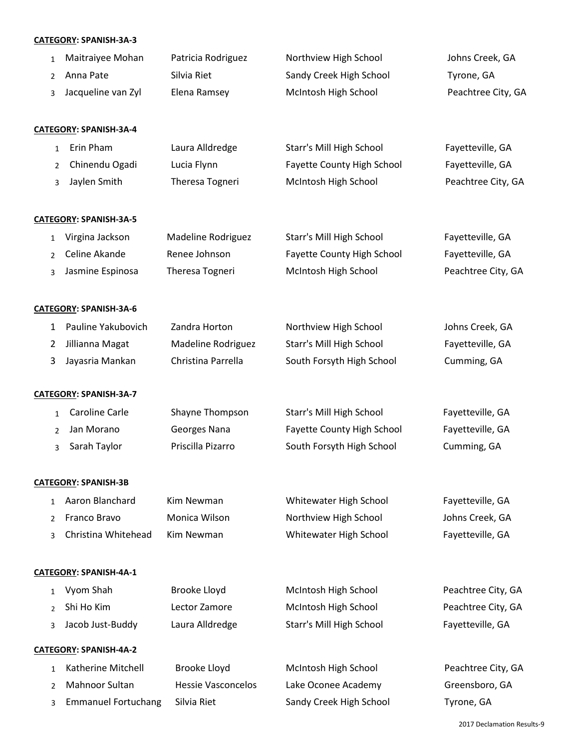### **CATEGORY: SPANISH-3A-3**

|                | CATEGORY: SPANISH-3A-3        |                           |                            |                    |
|----------------|-------------------------------|---------------------------|----------------------------|--------------------|
| $\mathbf{1}$   | Maitraiyee Mohan              | Patricia Rodriguez        | Northview High School      | Johns Creek, GA    |
| $\overline{2}$ | Anna Pate                     | Silvia Riet               | Sandy Creek High School    | Tyrone, GA         |
| 3              | Jacqueline van Zyl            | Elena Ramsey              | McIntosh High School       | Peachtree City, GA |
|                | CATEGORY: SPANISH-3A-4        |                           |                            |                    |
| $\mathbf{1}$   | Erin Pham                     | Laura Alldredge           | Starr's Mill High School   | Fayetteville, GA   |
| $\overline{2}$ | Chinendu Ogadi                | Lucia Flynn               | Fayette County High School | Fayetteville, GA   |
| 3              | Jaylen Smith                  | Theresa Togneri           | McIntosh High School       | Peachtree City, GA |
|                | CATEGORY: SPANISH-3A-5        |                           |                            |                    |
| 1              | Virgina Jackson               | Madeline Rodriguez        | Starr's Mill High School   | Fayetteville, GA   |
| 2              | Celine Akande                 | Renee Johnson             | Fayette County High School | Fayetteville, GA   |
| 3              | Jasmine Espinosa              | Theresa Togneri           | McIntosh High School       | Peachtree City, GA |
|                | CATEGORY: SPANISH-3A-6        |                           |                            |                    |
| 1              | Pauline Yakubovich            | Zandra Horton             | Northview High School      | Johns Creek, GA    |
| 2              | Jillianna Magat               | Madeline Rodriguez        | Starr's Mill High School   | Fayetteville, GA   |
| 3              | Jayasria Mankan               | Christina Parrella        | South Forsyth High School  | Cumming, GA        |
|                | CATEGORY: SPANISH-3A-7        |                           |                            |                    |
| $\mathbf{1}$   | Caroline Carle                | Shayne Thompson           | Starr's Mill High School   | Fayetteville, GA   |
| 2              | Jan Morano                    | Georges Nana              | Fayette County High School | Fayetteville, GA   |
| 3              | Sarah Taylor                  | Priscilla Pizarro         | South Forsyth High School  | Cumming, GA        |
|                | <b>CATEGORY: SPANISH-3B</b>   |                           |                            |                    |
| 1              | Aaron Blanchard               | Kim Newman                | Whitewater High School     | Fayetteville, GA   |
| 2              | Franco Bravo                  | Monica Wilson             | Northview High School      | Johns Creek, GA    |
| 3              | Christina Whitehead           | <b>Kim Newman</b>         | Whitewater High School     | Fayetteville, GA   |
|                | <b>CATEGORY: SPANISH-4A-1</b> |                           |                            |                    |
| 1              | Vyom Shah                     | Brooke Lloyd              | McIntosh High School       | Peachtree City, GA |
| $\overline{2}$ | Shi Ho Kim                    | Lector Zamore             | McIntosh High School       | Peachtree City, GA |
| 3              | Jacob Just-Buddy              | Laura Alldredge           | Starr's Mill High School   | Fayetteville, GA   |
|                | <b>CATEGORY: SPANISH-4A-2</b> |                           |                            |                    |
| 1              | Katherine Mitchell            | Brooke Lloyd              | McIntosh High School       | Peachtree City, GA |
| 2              | Mahnoor Sultan                | <b>Hessie Vasconcelos</b> | Lake Oconee Academy        | Greensboro, GA     |
| 3              | <b>Emmanuel Fortuchang</b>    | Silvia Riet               | Sandy Creek High School    | Tyrone, GA         |